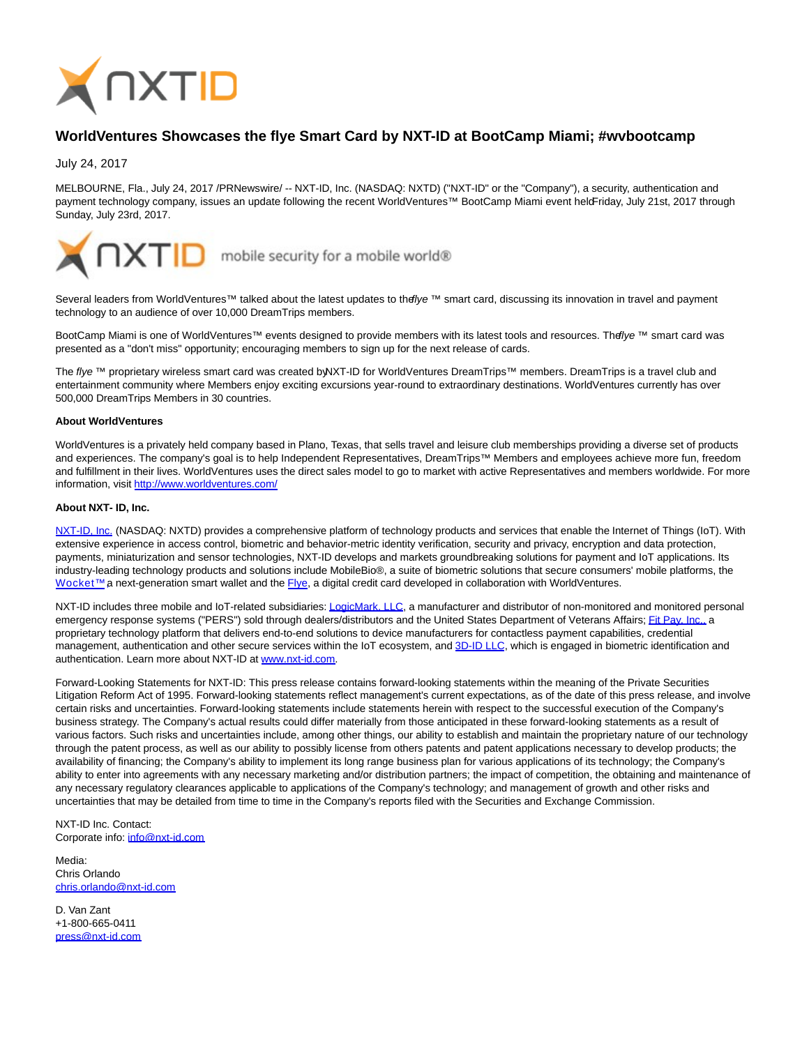

## **WorldVentures Showcases the flye Smart Card by NXT-ID at BootCamp Miami; #wvbootcamp**

July 24, 2017

MELBOURNE, Fla., July 24, 2017 /PRNewswire/ -- NXT-ID, Inc. (NASDAQ: NXTD) ("NXT-ID" or the "Company"), a security, authentication and payment technology company, issues an update following the recent WorldVentures™ BootCamp Miami event heldFriday, July 21st, 2017 through Sunday, July 23rd, 2017.



Several leaders from WorldVentures™ talked about the latest updates to the flye ™ smart card, discussing its innovation in travel and payment technology to an audience of over 10,000 DreamTrips members.

BootCamp Miami is one of WorldVentures™ events designed to provide members with its latest tools and resources. The flye ™ smart card was presented as a "don't miss" opportunity; encouraging members to sign up for the next release of cards.

The flye ™ proprietary wireless smart card was created byNXT-ID for WorldVentures DreamTrips™ members. DreamTrips is a travel club and entertainment community where Members enjoy exciting excursions year-round to extraordinary destinations. WorldVentures currently has over 500,000 DreamTrips Members in 30 countries.

## **About WorldVentures**

WorldVentures is a privately held company based in Plano, Texas, that sells travel and leisure club memberships providing a diverse set of products and experiences. The company's goal is to help Independent Representatives, DreamTrips™ Members and employees achieve more fun, freedom and fulfillment in their lives. WorldVentures uses the direct sales model to go to market with active Representatives and members worldwide. For more information, visit<http://www.worldventures.com/>

## **About NXT- ID, Inc.**

[NXT-ID, Inc. \(](http://www.nxt-id.com/)NASDAQ: NXTD) provides a comprehensive platform of technology products and services that enable the Internet of Things (IoT). With extensive experience in access control, biometric and behavior-metric identity verification, security and privacy, encryption and data protection, payments, miniaturization and sensor technologies, NXT-ID develops and markets groundbreaking solutions for payment and IoT applications. Its industry-leading technology products and solutions include MobileBio®, a suite of biometric solutions that secure consumers' mobile platforms, the Wocket™ a next-generation smart wallet and the [Flye,](https://www.flye.com/) a digital credit card developed in collaboration with WorldVentures.

NXT-ID includes three mobile and IoT-related subsidiaries[: LogicMark, LLC,](https://www.logicmark.com/) a manufacturer and distributor of non-monitored and monitored personal emergency response systems ("PERS") sold through dealers/distributors and the United States Department of Veterans Affairs[; Fit Pay, Inc., a](http://www.fit-pay.com/) proprietary technology platform that delivers end-to-end solutions to device manufacturers for contactless payment capabilities, credential management, authentication and other secure services within the IoT ecosystem, and [3D-ID LLC,](http://nxt-id.com/products/3did/) which is engaged in biometric identification and authentication. Learn more about NXT-ID at [www.nxt-id.com.](http://www.nxt-id.com/)

Forward-Looking Statements for NXT-ID: This press release contains forward-looking statements within the meaning of the Private Securities Litigation Reform Act of 1995. Forward-looking statements reflect management's current expectations, as of the date of this press release, and involve certain risks and uncertainties. Forward-looking statements include statements herein with respect to the successful execution of the Company's business strategy. The Company's actual results could differ materially from those anticipated in these forward-looking statements as a result of various factors. Such risks and uncertainties include, among other things, our ability to establish and maintain the proprietary nature of our technology through the patent process, as well as our ability to possibly license from others patents and patent applications necessary to develop products; the availability of financing; the Company's ability to implement its long range business plan for various applications of its technology; the Company's ability to enter into agreements with any necessary marketing and/or distribution partners; the impact of competition, the obtaining and maintenance of any necessary regulatory clearances applicable to applications of the Company's technology; and management of growth and other risks and uncertainties that may be detailed from time to time in the Company's reports filed with the Securities and Exchange Commission.

NXT-ID Inc. Contact: Corporate info: [info@nxt-id.com](mailto:info@nxt-id.com)

Media: Chris Orlando [chris.orlando@nxt-id.com](mailto:chris.orlando@nxt-id.com)

D. Van Zant +1-800-665-0411 [press@nxt-id.com](mailto:press@nxt-id.com)